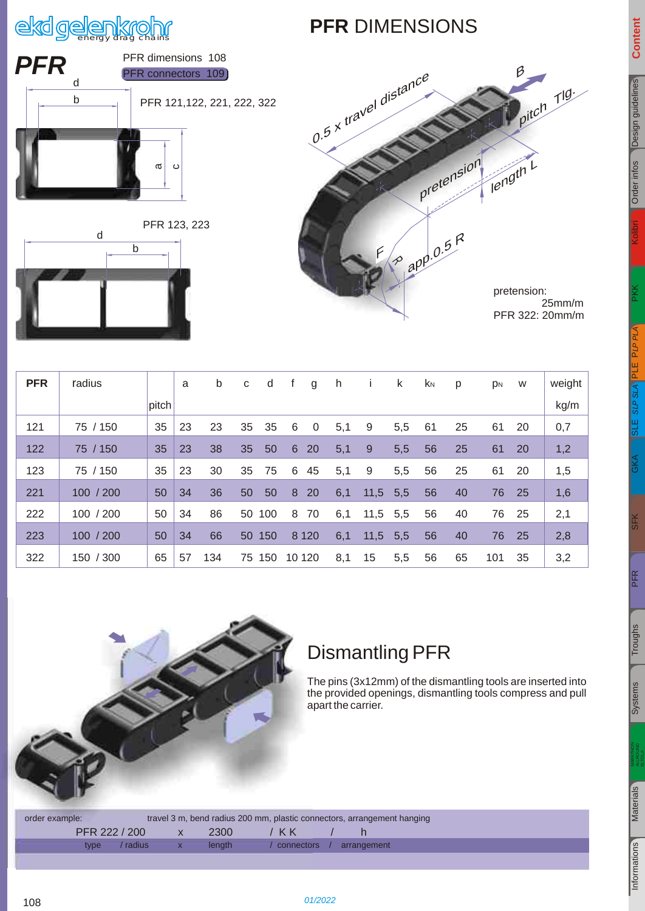# ekd gelenkrohr

#### **PFR** DIMENSIONS



[SFK](#page--1-0)

<span id="page-0-1"></span>

| <i><b>PFR</b></i> | PFR dimensions 108         |
|-------------------|----------------------------|
|                   | PFR connectors 109         |
|                   | PFR 121,122, 221, 222, 322 |
|                   | σ<br>Ω                     |

PFR 123, 223





 25mm/m PFR 322: 20mm/m

| <b>PFR</b> | radius    |       | a  | b   | C  | d      |                | g       | h   |            | k   | <b>K</b> N | p  | p <sub>N</sub> | W  | weight |
|------------|-----------|-------|----|-----|----|--------|----------------|---------|-----|------------|-----|------------|----|----------------|----|--------|
|            |           | pitch |    |     |    |        |                |         |     |            |     |            |    |                |    | kg/m   |
| 121        | 75 / 150  | 35    | 23 | 23  | 35 | 35     | 6              | 0       | 5,1 | 9          | 5,5 | 61         | 25 | 61             | 20 | 0,7    |
| 122        | 75 / 150  | 35    | 23 | 38  | 35 | 50     | $6\phantom{1}$ | 20      | 5,1 | 9          | 5,5 | 56         | 25 | 61             | 20 | 1,2    |
| 123        | 75 / 150  | 35    | 23 | 30  | 35 | 75     | 6              | 45      | 5,1 | 9          | 5,5 | 56         | 25 | 61             | 20 | 1,5    |
| 221        | 100 / 200 | 50    | 34 | 36  | 50 | 50     | 8              | 20      | 6,1 | 11,5       | 5,5 | 56         | 40 | 76             | 25 | 1,6    |
| 222        | 100 / 200 | 50    | 34 | 86  | 50 | 100    | 8              | 70      | 6,1 | $11,5$ 5,5 |     | 56         | 40 | 76             | 25 | 2,1    |
| 223        | 100 / 200 | 50    | 34 | 66  |    | 50 150 |                | 8 1 2 0 | 6,1 | 11,5       | 5,5 | 56         | 40 | 76             | 25 | 2,8    |
| 322        | 150 / 300 | 65    | 57 | 134 | 75 | 150    | 10 120         |         | 8,1 | 15         | 5,5 | 56         | 65 | 101            | 35 | 3,2    |



#### Dismantling PFR

The pins (3x12mm) of the dismantling tools are inserted into the provided openings, dismantling tools compress and pull apart the carrier.

order example: travel 3 m, bend radius 200 mm, plastic connectors, arrangement hanging PFR 222 / 200 x 2300 / KK / h type / radius x length / connectors / arrangement

<span id="page-0-0"></span>108